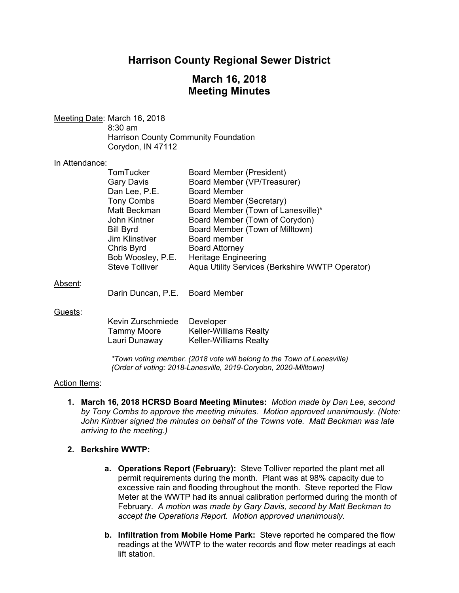# **Harrison County Regional Sewer District**

## **March 16, 2018 Meeting Minutes**

Meeting Date: March 16, 2018 8:30 am

 Harrison County Community Foundation Corydon, IN 47112

#### In Attendance:

| Aqua Utility Services (Berkshire WWTP Operator) |
|-------------------------------------------------|
|                                                 |

#### Absent:

Darin Duncan, P.E. Board Member

#### Guests:

| Kevin Zurschmiede | Developer                     |
|-------------------|-------------------------------|
| Tammy Moore       | <b>Keller-Williams Realty</b> |
| Lauri Dunaway     | <b>Keller-Williams Realty</b> |

*\*Town voting member. (2018 vote will belong to the Town of Lanesville) (Order of voting: 2018-Lanesville, 2019-Corydon, 2020-Milltown)* 

#### Action Items:

**1. March 16, 2018 HCRSD Board Meeting Minutes:** *Motion made by Dan Lee, second by Tony Combs to approve the meeting minutes. Motion approved unanimously. (Note: John Kintner signed the minutes on behalf of the Towns vote. Matt Beckman was late arriving to the meeting.)*

#### **2. Berkshire WWTP:**

- **a. Operations Report (February):** Steve Tolliver reported the plant met all permit requirements during the month. Plant was at 98% capacity due to excessive rain and flooding throughout the month. Steve reported the Flow Meter at the WWTP had its annual calibration performed during the month of February. *A motion was made by Gary Davis, second by Matt Beckman to accept the Operations Report. Motion approved unanimously.*
- **b. Infiltration from Mobile Home Park:** Steve reported he compared the flow readings at the WWTP to the water records and flow meter readings at each lift station.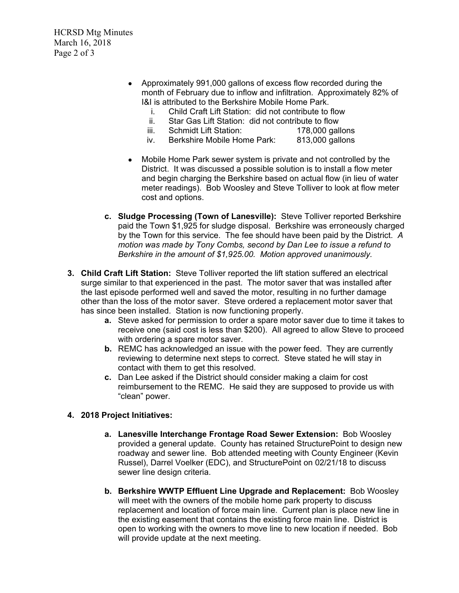HCRSD Mtg Minutes March 16, 2018 Page 2 of 3

- Approximately 991,000 gallons of excess flow recorded during the month of February due to inflow and infiltration. Approximately 82% of I&I is attributed to the Berkshire Mobile Home Park.
	- i. Child Craft Lift Station: did not contribute to flow
	- ii. Star Gas Lift Station: did not contribute to flow
	- iii. Schmidt Lift Station: 178,000 gallons
	- iv. Berkshire Mobile Home Park: 813,000 gallons
- Mobile Home Park sewer system is private and not controlled by the District. It was discussed a possible solution is to install a flow meter and begin charging the Berkshire based on actual flow (in lieu of water meter readings). Bob Woosley and Steve Tolliver to look at flow meter cost and options.
- **c. Sludge Processing (Town of Lanesville):** Steve Tolliver reported Berkshire paid the Town \$1,925 for sludge disposal. Berkshire was erroneously charged by the Town for this service. The fee should have been paid by the District. *A motion was made by Tony Combs, second by Dan Lee to issue a refund to Berkshire in the amount of \$1,925.00. Motion approved unanimously.*
- **3. Child Craft Lift Station:** Steve Tolliver reported the lift station suffered an electrical surge similar to that experienced in the past. The motor saver that was installed after the last episode performed well and saved the motor, resulting in no further damage other than the loss of the motor saver. Steve ordered a replacement motor saver that has since been installed. Station is now functioning properly.
	- **a.** Steve asked for permission to order a spare motor saver due to time it takes to receive one (said cost is less than \$200). All agreed to allow Steve to proceed with ordering a spare motor saver.
	- **b.** REMC has acknowledged an issue with the power feed. They are currently reviewing to determine next steps to correct. Steve stated he will stay in contact with them to get this resolved.
	- **c.** Dan Lee asked if the District should consider making a claim for cost reimbursement to the REMC. He said they are supposed to provide us with "clean" power.

## **4. 2018 Project Initiatives:**

- **a. Lanesville Interchange Frontage Road Sewer Extension:** Bob Woosley provided a general update. County has retained StructurePoint to design new roadway and sewer line. Bob attended meeting with County Engineer (Kevin Russel), Darrel Voelker (EDC), and StructurePoint on 02/21/18 to discuss sewer line design criteria.
- **b. Berkshire WWTP Effluent Line Upgrade and Replacement:** Bob Woosley will meet with the owners of the mobile home park property to discuss replacement and location of force main line. Current plan is place new line in the existing easement that contains the existing force main line. District is open to working with the owners to move line to new location if needed. Bob will provide update at the next meeting.